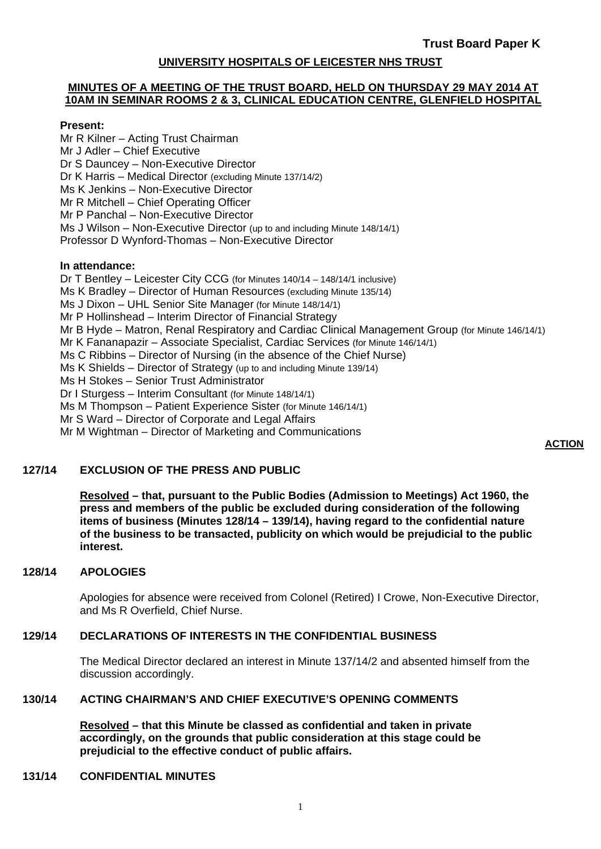### **UNIVERSITY HOSPITALS OF LEICESTER NHS TRUST**

#### **MINUTES OF A MEETING OF THE TRUST BOARD, HELD ON THURSDAY 29 MAY 2014 AT 10AM IN SEMINAR ROOMS 2 & 3, CLINICAL EDUCATION CENTRE, GLENFIELD HOSPITAL**

#### **Present:**

Mr R Kilner – Acting Trust Chairman Mr J Adler – Chief Executive Dr S Dauncey – Non-Executive Director Dr K Harris – Medical Director (excluding Minute 137/14/2) Ms K Jenkins – Non-Executive Director Mr R Mitchell – Chief Operating Officer Mr P Panchal – Non-Executive Director Ms J Wilson – Non-Executive Director (up to and including Minute 148/14/1) Professor D Wynford-Thomas – Non-Executive Director

#### **In attendance:**

Dr T Bentley – Leicester City CCG (for Minutes 140/14 – 148/14/1 inclusive) Ms K Bradley – Director of Human Resources (excluding Minute 135/14) Ms J Dixon – UHL Senior Site Manager (for Minute 148/14/1) Mr P Hollinshead – Interim Director of Financial Strategy Mr B Hyde – Matron, Renal Respiratory and Cardiac Clinical Management Group (for Minute 146/14/1) Mr K Fananapazir – Associate Specialist, Cardiac Services (for Minute 146/14/1) Ms C Ribbins – Director of Nursing (in the absence of the Chief Nurse) Ms K Shields – Director of Strategy (up to and including Minute 139/14) Ms H Stokes – Senior Trust Administrator Dr I Sturgess – Interim Consultant (for Minute 148/14/1) Ms M Thompson – Patient Experience Sister (for Minute 146/14/1) Mr S Ward – Director of Corporate and Legal Affairs Mr M Wightman – Director of Marketing and Communications

#### **ACTION**

#### **127/14 EXCLUSION OF THE PRESS AND PUBLIC**

**Resolved – that, pursuant to the Public Bodies (Admission to Meetings) Act 1960, the press and members of the public be excluded during consideration of the following items of business (Minutes 128/14 – 139/14), having regard to the confidential nature of the business to be transacted, publicity on which would be prejudicial to the public interest.** 

#### **128/14 APOLOGIES**

Apologies for absence were received from Colonel (Retired) I Crowe, Non-Executive Director, and Ms R Overfield, Chief Nurse.

### **129/14 DECLARATIONS OF INTERESTS IN THE CONFIDENTIAL BUSINESS**

The Medical Director declared an interest in Minute 137/14/2 and absented himself from the discussion accordingly.

### **130/14 ACTING CHAIRMAN'S AND CHIEF EXECUTIVE'S OPENING COMMENTS**

**Resolved – that this Minute be classed as confidential and taken in private accordingly, on the grounds that public consideration at this stage could be prejudicial to the effective conduct of public affairs.** 

#### **131/14 CONFIDENTIAL MINUTES**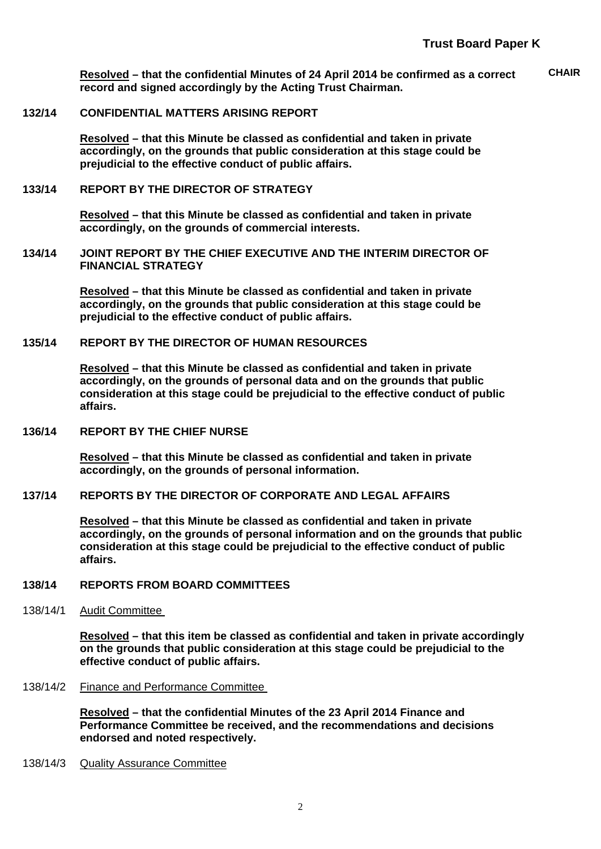**Resolved – that the confidential Minutes of 24 April 2014 be confirmed as a correct record and signed accordingly by the Acting Trust Chairman. CHAIR** 

#### **132/14 CONFIDENTIAL MATTERS ARISING REPORT**

**Resolved – that this Minute be classed as confidential and taken in private accordingly, on the grounds that public consideration at this stage could be prejudicial to the effective conduct of public affairs.** 

#### **133/14 REPORT BY THE DIRECTOR OF STRATEGY**

**Resolved – that this Minute be classed as confidential and taken in private accordingly, on the grounds of commercial interests.** 

#### **134/14 JOINT REPORT BY THE CHIEF EXECUTIVE AND THE INTERIM DIRECTOR OF FINANCIAL STRATEGY**

**Resolved – that this Minute be classed as confidential and taken in private accordingly, on the grounds that public consideration at this stage could be prejudicial to the effective conduct of public affairs.** 

#### **135/14 REPORT BY THE DIRECTOR OF HUMAN RESOURCES**

**Resolved – that this Minute be classed as confidential and taken in private accordingly, on the grounds of personal data and on the grounds that public consideration at this stage could be prejudicial to the effective conduct of public affairs.** 

#### **136/14 REPORT BY THE CHIEF NURSE**

**Resolved – that this Minute be classed as confidential and taken in private accordingly, on the grounds of personal information.** 

#### **137/14 REPORTS BY THE DIRECTOR OF CORPORATE AND LEGAL AFFAIRS**

**Resolved – that this Minute be classed as confidential and taken in private accordingly, on the grounds of personal information and on the grounds that public consideration at this stage could be prejudicial to the effective conduct of public affairs.** 

#### **138/14 REPORTS FROM BOARD COMMITTEES**

138/14/1 Audit Committee

**Resolved – that this item be classed as confidential and taken in private accordingly on the grounds that public consideration at this stage could be prejudicial to the effective conduct of public affairs.** 

138/14/2 Finance and Performance Committee

**Resolved – that the confidential Minutes of the 23 April 2014 Finance and Performance Committee be received, and the recommendations and decisions endorsed and noted respectively.** 

138/14/3 Quality Assurance Committee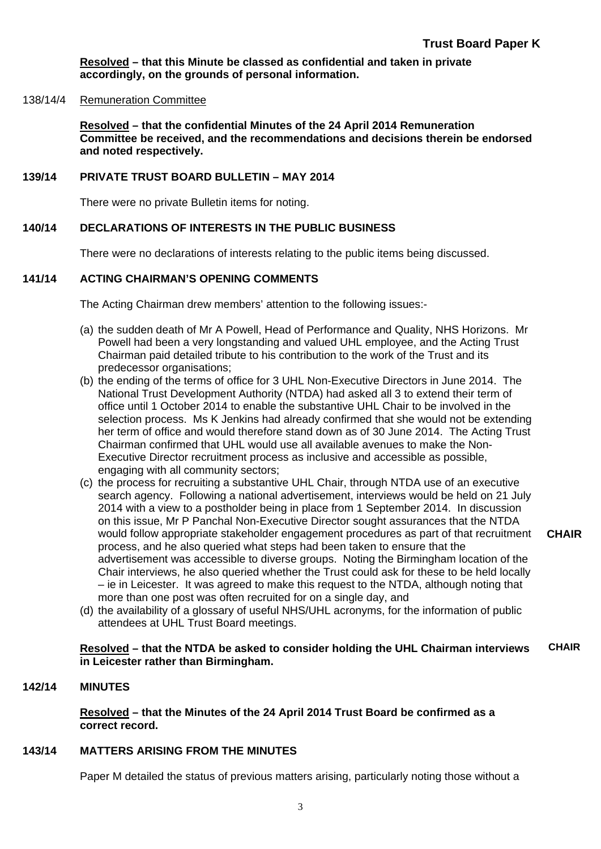**Resolved – that this Minute be classed as confidential and taken in private accordingly, on the grounds of personal information.** 

#### 138/14/4 Remuneration Committee

**Resolved – that the confidential Minutes of the 24 April 2014 Remuneration Committee be received, and the recommendations and decisions therein be endorsed and noted respectively.** 

# **139/14 PRIVATE TRUST BOARD BULLETIN – MAY 2014**

There were no private Bulletin items for noting.

#### **140/14 DECLARATIONS OF INTERESTS IN THE PUBLIC BUSINESS**

There were no declarations of interests relating to the public items being discussed.

#### **141/14 ACTING CHAIRMAN'S OPENING COMMENTS**

The Acting Chairman drew members' attention to the following issues:-

- (a) the sudden death of Mr A Powell, Head of Performance and Quality, NHS Horizons. Mr Powell had been a very longstanding and valued UHL employee, and the Acting Trust Chairman paid detailed tribute to his contribution to the work of the Trust and its predecessor organisations;
- (b) the ending of the terms of office for 3 UHL Non-Executive Directors in June 2014. The National Trust Development Authority (NTDA) had asked all 3 to extend their term of office until 1 October 2014 to enable the substantive UHL Chair to be involved in the selection process. Ms K Jenkins had already confirmed that she would not be extending her term of office and would therefore stand down as of 30 June 2014. The Acting Trust Chairman confirmed that UHL would use all available avenues to make the Non-Executive Director recruitment process as inclusive and accessible as possible, engaging with all community sectors;
- (c) the process for recruiting a substantive UHL Chair, through NTDA use of an executive search agency. Following a national advertisement, interviews would be held on 21 July 2014 with a view to a postholder being in place from 1 September 2014. In discussion on this issue, Mr P Panchal Non-Executive Director sought assurances that the NTDA would follow appropriate stakeholder engagement procedures as part of that recruitment process, and he also queried what steps had been taken to ensure that the advertisement was accessible to diverse groups. Noting the Birmingham location of the Chair interviews, he also queried whether the Trust could ask for these to be held locally – ie in Leicester. It was agreed to make this request to the NTDA, although noting that more than one post was often recruited for on a single day, and **CHAIR**
- (d) the availability of a glossary of useful NHS/UHL acronyms, for the information of public attendees at UHL Trust Board meetings.

#### **Resolved – that the NTDA be asked to consider holding the UHL Chairman interviews in Leicester rather than Birmingham. CHAIR**

### **142/14 MINUTES**

**Resolved – that the Minutes of the 24 April 2014 Trust Board be confirmed as a correct record.** 

#### **143/14 MATTERS ARISING FROM THE MINUTES**

Paper M detailed the status of previous matters arising, particularly noting those without a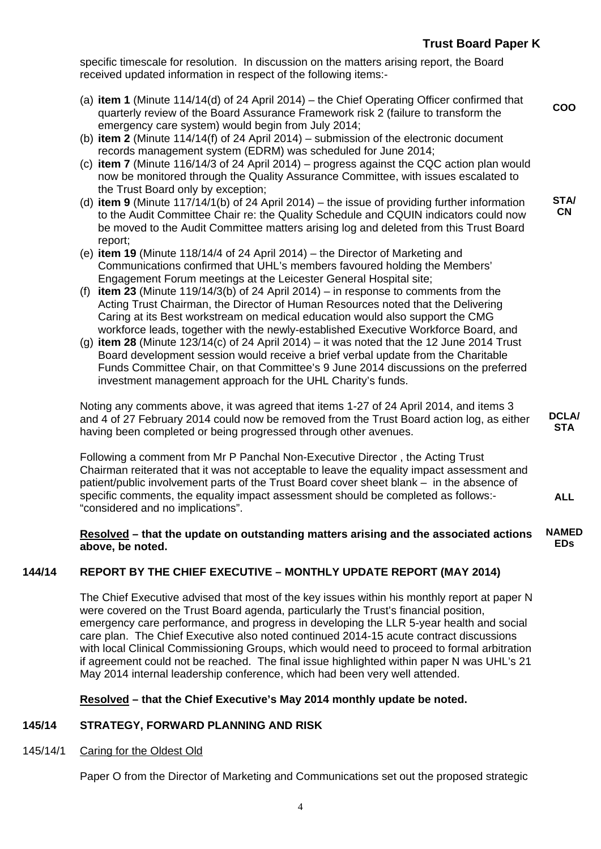specific timescale for resolution. In discussion on the matters arising report, the Board received updated information in respect of the following items:-

- (a) **item 1** (Minute 114/14(d) of 24 April 2014) the Chief Operating Officer confirmed that quarterly review of the Board Assurance Framework risk 2 (failure to transform the emergency care system) would begin from July 2014; **COO**
- (b) **item 2** (Minute 114/14(f) of 24 April 2014) submission of the electronic document records management system (EDRM) was scheduled for June 2014;
- (c) **item 7** (Minute 116/14/3 of 24 April 2014) progress against the CQC action plan would now be monitored through the Quality Assurance Committee, with issues escalated to the Trust Board only by exception;
- (d) **item 9** (Minute 117/14/1(b) of 24 April 2014) the issue of providing further information to the Audit Committee Chair re: the Quality Schedule and CQUIN indicators could now be moved to the Audit Committee matters arising log and deleted from this Trust Board report; **STA/ CN**
- (e) **item 19** (Minute 118/14/4 of 24 April 2014) the Director of Marketing and Communications confirmed that UHL's members favoured holding the Members' Engagement Forum meetings at the Leicester General Hospital site;
- (f) **item 23** (Minute 119/14/3(b) of 24 April 2014) in response to comments from the Acting Trust Chairman, the Director of Human Resources noted that the Delivering Caring at its Best workstream on medical education would also support the CMG workforce leads, together with the newly-established Executive Workforce Board, and
- (g) **item 28** (Minute 123/14(c) of 24 April 2014) it was noted that the 12 June 2014 Trust Board development session would receive a brief verbal update from the Charitable Funds Committee Chair, on that Committee's 9 June 2014 discussions on the preferred investment management approach for the UHL Charity's funds.

Noting any comments above, it was agreed that items 1-27 of 24 April 2014, and items 3 and 4 of 27 February 2014 could now be removed from the Trust Board action log, as either having been completed or being progressed through other avenues.

Following a comment from Mr P Panchal Non-Executive Director , the Acting Trust Chairman reiterated that it was not acceptable to leave the equality impact assessment and patient/public involvement parts of the Trust Board cover sheet blank – in the absence of specific comments, the equality impact assessment should be completed as follows:- "considered and no implications".

#### **Resolved – that the update on outstanding matters arising and the associated actions above, be noted. NAMED EDs**

# **144/14 REPORT BY THE CHIEF EXECUTIVE – MONTHLY UPDATE REPORT (MAY 2014)**

The Chief Executive advised that most of the key issues within his monthly report at paper N were covered on the Trust Board agenda, particularly the Trust's financial position, emergency care performance, and progress in developing the LLR 5-year health and social care plan. The Chief Executive also noted continued 2014-15 acute contract discussions with local Clinical Commissioning Groups, which would need to proceed to formal arbitration if agreement could not be reached. The final issue highlighted within paper N was UHL's 21 May 2014 internal leadership conference, which had been very well attended.

# **Resolved – that the Chief Executive's May 2014 monthly update be noted.**

### **145/14 STRATEGY, FORWARD PLANNING AND RISK**

### 145/14/1 Caring for the Oldest Old

Paper O from the Director of Marketing and Communications set out the proposed strategic

**DCLA/ STA** 

**ALL**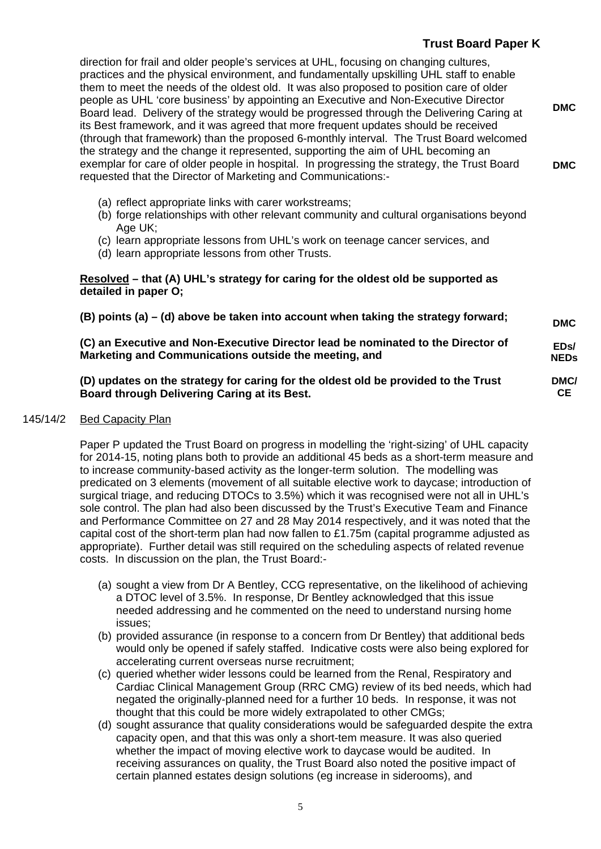| direction for frail and older people's services at UHL, focusing on changing cultures,<br>practices and the physical environment, and fundamentally upskilling UHL staff to enable<br>them to meet the needs of the oldest old. It was also proposed to position care of older<br>people as UHL 'core business' by appointing an Executive and Non-Executive Director<br>Board lead. Delivery of the strategy would be progressed through the Delivering Caring at<br>its Best framework, and it was agreed that more frequent updates should be received<br>(through that framework) than the proposed 6-monthly interval. The Trust Board welcomed<br>the strategy and the change it represented, supporting the aim of UHL becoming an<br>exemplar for care of older people in hospital. In progressing the strategy, the Trust Board<br>requested that the Director of Marketing and Communications:- | <b>DMC</b><br><b>DMC</b> |  |  |  |  |
|-----------------------------------------------------------------------------------------------------------------------------------------------------------------------------------------------------------------------------------------------------------------------------------------------------------------------------------------------------------------------------------------------------------------------------------------------------------------------------------------------------------------------------------------------------------------------------------------------------------------------------------------------------------------------------------------------------------------------------------------------------------------------------------------------------------------------------------------------------------------------------------------------------------|--------------------------|--|--|--|--|
| (a) reflect appropriate links with carer workstreams;<br>(b) forge relationships with other relevant community and cultural organisations beyond<br>Age UK;<br>(c) learn appropriate lessons from UHL's work on teenage cancer services, and<br>(d) learn appropriate lessons from other Trusts.                                                                                                                                                                                                                                                                                                                                                                                                                                                                                                                                                                                                          |                          |  |  |  |  |
| Resolved – that (A) UHL's strategy for caring for the oldest old be supported as<br>detailed in paper O;                                                                                                                                                                                                                                                                                                                                                                                                                                                                                                                                                                                                                                                                                                                                                                                                  |                          |  |  |  |  |
| (B) points (a) – (d) above be taken into account when taking the strategy forward;                                                                                                                                                                                                                                                                                                                                                                                                                                                                                                                                                                                                                                                                                                                                                                                                                        |                          |  |  |  |  |
| (C) an Executive and Non-Executive Director lead be nominated to the Director of<br>Marketing and Communications outside the meeting, and                                                                                                                                                                                                                                                                                                                                                                                                                                                                                                                                                                                                                                                                                                                                                                 |                          |  |  |  |  |
| (D) updates on the strategy for caring for the oldest old be provided to the Trust<br>Board through Delivering Caring at its Best.                                                                                                                                                                                                                                                                                                                                                                                                                                                                                                                                                                                                                                                                                                                                                                        |                          |  |  |  |  |

#### 145/14/2 Bed Capacity Plan

Paper P updated the Trust Board on progress in modelling the 'right-sizing' of UHL capacity for 2014-15, noting plans both to provide an additional 45 beds as a short-term measure and to increase community-based activity as the longer-term solution. The modelling was predicated on 3 elements (movement of all suitable elective work to daycase; introduction of surgical triage, and reducing DTOCs to 3.5%) which it was recognised were not all in UHL's sole control. The plan had also been discussed by the Trust's Executive Team and Finance and Performance Committee on 27 and 28 May 2014 respectively, and it was noted that the capital cost of the short-term plan had now fallen to £1.75m (capital programme adjusted as appropriate). Further detail was still required on the scheduling aspects of related revenue costs. In discussion on the plan, the Trust Board:-

- (a) sought a view from Dr A Bentley, CCG representative, on the likelihood of achieving a DTOC level of 3.5%. In response, Dr Bentley acknowledged that this issue needed addressing and he commented on the need to understand nursing home issues;
- (b) provided assurance (in response to a concern from Dr Bentley) that additional beds would only be opened if safely staffed. Indicative costs were also being explored for accelerating current overseas nurse recruitment;
- (c) queried whether wider lessons could be learned from the Renal, Respiratory and Cardiac Clinical Management Group (RRC CMG) review of its bed needs, which had negated the originally-planned need for a further 10 beds. In response, it was not thought that this could be more widely extrapolated to other CMGs;
- (d) sought assurance that quality considerations would be safeguarded despite the extra capacity open, and that this was only a short-tem measure. It was also queried whether the impact of moving elective work to daycase would be audited. In receiving assurances on quality, the Trust Board also noted the positive impact of certain planned estates design solutions (eg increase in siderooms), and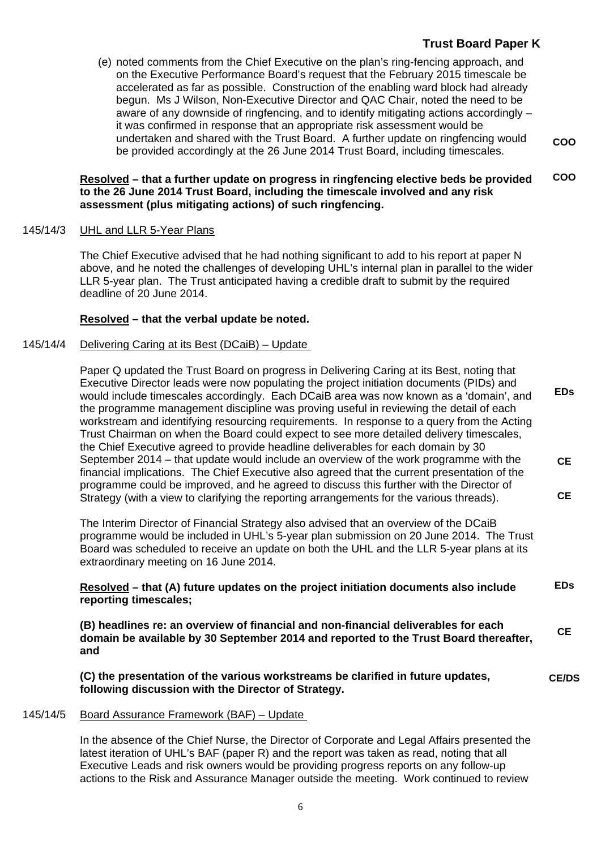(e) noted comments from the Chief Executive on the plan's ring-fencing approach, and on the Executive Performance Board's request that the February 2015 timescale be accelerated as far as possible. Construction of the enabling ward block had already begun. Ms J Wilson, Non-Executive Director and QAC Chair, noted the need to be aware of any downside of ringfencing, and to identify mitigating actions accordingly – it was confirmed in response that an appropriate risk assessment would be undertaken and shared with the Trust Board. A further update on ringfencing would be provided accordingly at the 26 June 2014 Trust Board, including timescales. **COO** 

#### **Resolved – that a further update on progress in ringfencing elective beds be provided to the 26 June 2014 Trust Board, including the timescale involved and any risk assessment (plus mitigating actions) of such ringfencing. COO**

#### 145/14/3 UHL and LLR 5-Year Plans

The Chief Executive advised that he had nothing significant to add to his report at paper N above, and he noted the challenges of developing UHL's internal plan in parallel to the wider LLR 5-year plan. The Trust anticipated having a credible draft to submit by the required deadline of 20 June 2014.

#### **Resolved – that the verbal update be noted.**

#### 145/14/4 Delivering Caring at its Best (DCaiB) – Update

Paper Q updated the Trust Board on progress in Delivering Caring at its Best, noting that Executive Director leads were now populating the project initiation documents (PIDs) and would include timescales accordingly. Each DCaiB area was now known as a 'domain', and the programme management discipline was proving useful in reviewing the detail of each workstream and identifying resourcing requirements. In response to a query from the Acting Trust Chairman on when the Board could expect to see more detailed delivery timescales, the Chief Executive agreed to provide headline deliverables for each domain by 30 September 2014 – that update would include an overview of the work programme with the financial implications. The Chief Executive also agreed that the current presentation of the programme could be improved, and he agreed to discuss this further with the Director of Strategy (with a view to clarifying the reporting arrangements for the various threads). **EDs CE CE** 

The Interim Director of Financial Strategy also advised that an overview of the DCaiB programme would be included in UHL's 5-year plan submission on 20 June 2014. The Trust Board was scheduled to receive an update on both the UHL and the LLR 5-year plans at its extraordinary meeting on 16 June 2014.

#### **Resolved – that (A) future updates on the project initiation documents also include reporting timescales; EDs**

**(B) headlines re: an overview of financial and non-financial deliverables for each domain be available by 30 September 2014 and reported to the Trust Board thereafter, and CE** 

**(C) the presentation of the various workstreams be clarified in future updates, following discussion with the Director of Strategy. CE/DS** 

#### 145/14/5 Board Assurance Framework (BAF) – Update

In the absence of the Chief Nurse, the Director of Corporate and Legal Affairs presented the latest iteration of UHL's BAF (paper R) and the report was taken as read, noting that all Executive Leads and risk owners would be providing progress reports on any follow-up actions to the Risk and Assurance Manager outside the meeting. Work continued to review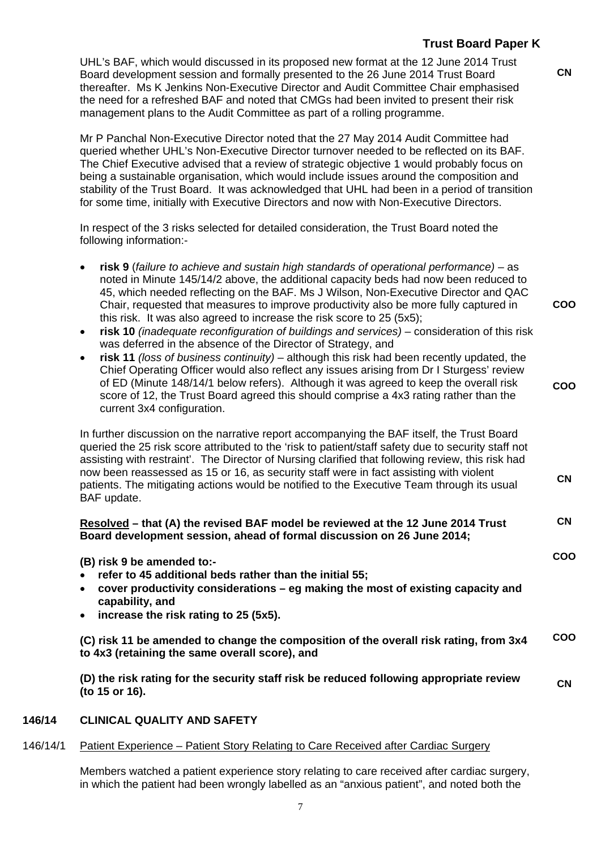UHL's BAF, which would discussed in its proposed new format at the 12 June 2014 Trust Board development session and formally presented to the 26 June 2014 Trust Board thereafter. Ms K Jenkins Non-Executive Director and Audit Committee Chair emphasised the need for a refreshed BAF and noted that CMGs had been invited to present their risk management plans to the Audit Committee as part of a rolling programme.

Mr P Panchal Non-Executive Director noted that the 27 May 2014 Audit Committee had queried whether UHL's Non-Executive Director turnover needed to be reflected on its BAF. The Chief Executive advised that a review of strategic objective 1 would probably focus on being a sustainable organisation, which would include issues around the composition and stability of the Trust Board. It was acknowledged that UHL had been in a period of transition for some time, initially with Executive Directors and now with Non-Executive Directors.

In respect of the 3 risks selected for detailed consideration, the Trust Board noted the following information:-

- **risk 9** (*failure to achieve and sustain high standards of operational performance)*  as noted in Minute 145/14/2 above, the additional capacity beds had now been reduced to 45, which needed reflecting on the BAF. Ms J Wilson, Non-Executive Director and QAC Chair, requested that measures to improve productivity also be more fully captured in this risk. It was also agreed to increase the risk score to 25 (5x5);
- **risk 10** *(inadequate reconfiguration of buildings and services)*  consideration of this risk was deferred in the absence of the Director of Strategy, and
- **risk 11** *(loss of business continuity)* although this risk had been recently updated, the Chief Operating Officer would also reflect any issues arising from Dr I Sturgess' review of ED (Minute 148/14/1 below refers). Although it was agreed to keep the overall risk score of 12, the Trust Board agreed this should comprise a 4x3 rating rather than the current 3x4 configuration. **COO**

In further discussion on the narrative report accompanying the BAF itself, the Trust Board queried the 25 risk score attributed to the 'risk to patient/staff safety due to security staff not assisting with restraint'. The Director of Nursing clarified that following review, this risk had now been reassessed as 15 or 16, as security staff were in fact assisting with violent patients. The mitigating actions would be notified to the Executive Team through its usual BAF update.

#### **Resolved – that (A) the revised BAF model be reviewed at the 12 June 2014 Trust Board development session, ahead of formal discussion on 26 June 2014; CN**

#### **(B) risk 9 be amended to:-**

- **refer to 45 additional beds rather than the initial 55;**
- **cover productivity considerations eg making the most of existing capacity and capability, and**
- **increase the risk rating to 25 (5x5).**

**(C) risk 11 be amended to change the composition of the overall risk rating, from 3x4 to 4x3 (retaining the same overall score), and COO** 

**(D) the risk rating for the security staff risk be reduced following appropriate review (to 15 or 16). CN** 

#### **146/14 CLINICAL QUALITY AND SAFETY**

#### 146/14/1 Patient Experience – Patient Story Relating to Care Received after Cardiac Surgery

Members watched a patient experience story relating to care received after cardiac surgery, in which the patient had been wrongly labelled as an "anxious patient", and noted both the

**COO** 

**CN** 

**COO** 

**CN**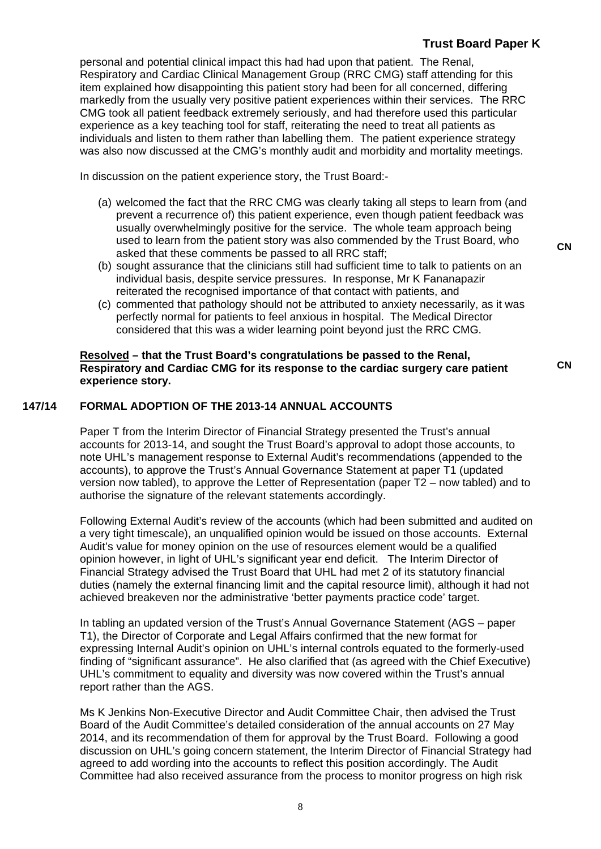personal and potential clinical impact this had had upon that patient. The Renal, Respiratory and Cardiac Clinical Management Group (RRC CMG) staff attending for this item explained how disappointing this patient story had been for all concerned, differing markedly from the usually very positive patient experiences within their services. The RRC CMG took all patient feedback extremely seriously, and had therefore used this particular experience as a key teaching tool for staff, reiterating the need to treat all patients as individuals and listen to them rather than labelling them. The patient experience strategy was also now discussed at the CMG's monthly audit and morbidity and mortality meetings.

In discussion on the patient experience story, the Trust Board:-

- (a) welcomed the fact that the RRC CMG was clearly taking all steps to learn from (and prevent a recurrence of) this patient experience, even though patient feedback was usually overwhelmingly positive for the service. The whole team approach being used to learn from the patient story was also commended by the Trust Board, who asked that these comments be passed to all RRC staff;
- (b) sought assurance that the clinicians still had sufficient time to talk to patients on an individual basis, despite service pressures. In response, Mr K Fananapazir reiterated the recognised importance of that contact with patients, and
- (c) commented that pathology should not be attributed to anxiety necessarily, as it was perfectly normal for patients to feel anxious in hospital. The Medical Director considered that this was a wider learning point beyond just the RRC CMG.

**Resolved – that the Trust Board's congratulations be passed to the Renal, Respiratory and Cardiac CMG for its response to the cardiac surgery care patient experience story.** 

### **147/14 FORMAL ADOPTION OF THE 2013-14 ANNUAL ACCOUNTS**

Paper T from the Interim Director of Financial Strategy presented the Trust's annual accounts for 2013-14, and sought the Trust Board's approval to adopt those accounts, to note UHL's management response to External Audit's recommendations (appended to the accounts), to approve the Trust's Annual Governance Statement at paper T1 (updated version now tabled), to approve the Letter of Representation (paper T2 – now tabled) and to authorise the signature of the relevant statements accordingly.

Following External Audit's review of the accounts (which had been submitted and audited on a very tight timescale), an unqualified opinion would be issued on those accounts. External Audit's value for money opinion on the use of resources element would be a qualified opinion however, in light of UHL's significant year end deficit. The Interim Director of Financial Strategy advised the Trust Board that UHL had met 2 of its statutory financial duties (namely the external financing limit and the capital resource limit), although it had not achieved breakeven nor the administrative 'better payments practice code' target.

In tabling an updated version of the Trust's Annual Governance Statement (AGS – paper T1), the Director of Corporate and Legal Affairs confirmed that the new format for expressing Internal Audit's opinion on UHL's internal controls equated to the formerly-used finding of "significant assurance". He also clarified that (as agreed with the Chief Executive) UHL's commitment to equality and diversity was now covered within the Trust's annual report rather than the AGS.

Ms K Jenkins Non-Executive Director and Audit Committee Chair, then advised the Trust Board of the Audit Committee's detailed consideration of the annual accounts on 27 May 2014, and its recommendation of them for approval by the Trust Board. Following a good discussion on UHL's going concern statement, the Interim Director of Financial Strategy had agreed to add wording into the accounts to reflect this position accordingly. The Audit Committee had also received assurance from the process to monitor progress on high risk

8

**CN**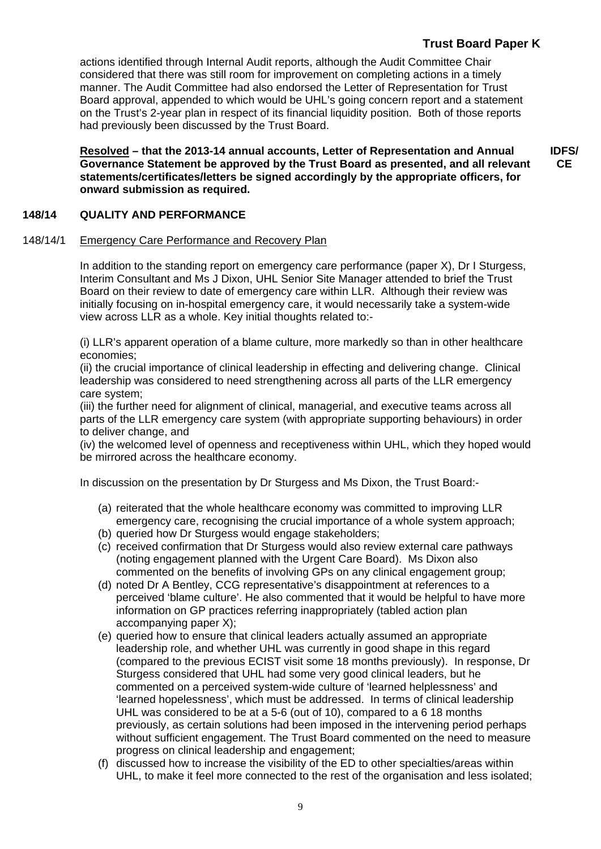**CE** 

actions identified through Internal Audit reports, although the Audit Committee Chair considered that there was still room for improvement on completing actions in a timely manner. The Audit Committee had also endorsed the Letter of Representation for Trust Board approval, appended to which would be UHL's going concern report and a statement on the Trust's 2-year plan in respect of its financial liquidity position. Both of those reports had previously been discussed by the Trust Board.

**Resolved – that the 2013-14 annual accounts, Letter of Representation and Annual Governance Statement be approved by the Trust Board as presented, and all relevant statements/certificates/letters be signed accordingly by the appropriate officers, for onward submission as required. IDFS/** 

#### **148/14 QUALITY AND PERFORMANCE**

#### 148/14/1 Emergency Care Performance and Recovery Plan

In addition to the standing report on emergency care performance (paper X), Dr I Sturgess, Interim Consultant and Ms J Dixon, UHL Senior Site Manager attended to brief the Trust Board on their review to date of emergency care within LLR. Although their review was initially focusing on in-hospital emergency care, it would necessarily take a system-wide view across LLR as a whole. Key initial thoughts related to:-

(i) LLR's apparent operation of a blame culture, more markedly so than in other healthcare economies;

(ii) the crucial importance of clinical leadership in effecting and delivering change. Clinical leadership was considered to need strengthening across all parts of the LLR emergency care system;

(iii) the further need for alignment of clinical, managerial, and executive teams across all parts of the LLR emergency care system (with appropriate supporting behaviours) in order to deliver change, and

(iv) the welcomed level of openness and receptiveness within UHL, which they hoped would be mirrored across the healthcare economy.

In discussion on the presentation by Dr Sturgess and Ms Dixon, the Trust Board:-

- (a) reiterated that the whole healthcare economy was committed to improving LLR emergency care, recognising the crucial importance of a whole system approach;
- (b) queried how Dr Sturgess would engage stakeholders;
- (c) received confirmation that Dr Sturgess would also review external care pathways (noting engagement planned with the Urgent Care Board). Ms Dixon also commented on the benefits of involving GPs on any clinical engagement group;
- (d) noted Dr A Bentley, CCG representative's disappointment at references to a perceived 'blame culture'. He also commented that it would be helpful to have more information on GP practices referring inappropriately (tabled action plan accompanying paper X);
- (e) queried how to ensure that clinical leaders actually assumed an appropriate leadership role, and whether UHL was currently in good shape in this regard (compared to the previous ECIST visit some 18 months previously). In response, Dr Sturgess considered that UHL had some very good clinical leaders, but he commented on a perceived system-wide culture of 'learned helplessness' and 'learned hopelessness', which must be addressed. In terms of clinical leadership UHL was considered to be at a 5-6 (out of 10), compared to a 6 18 months previously, as certain solutions had been imposed in the intervening period perhaps without sufficient engagement. The Trust Board commented on the need to measure progress on clinical leadership and engagement;
- (f) discussed how to increase the visibility of the ED to other specialties/areas within UHL, to make it feel more connected to the rest of the organisation and less isolated;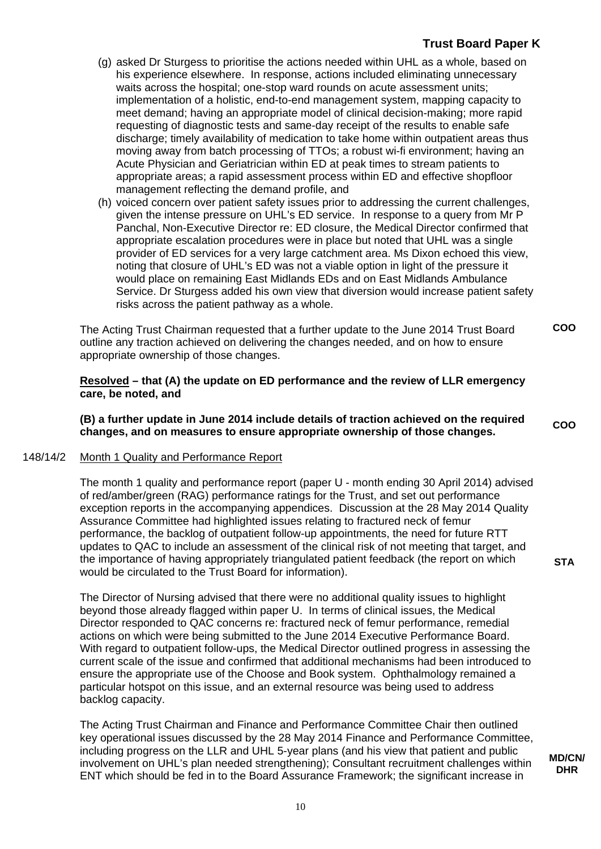- (g) asked Dr Sturgess to prioritise the actions needed within UHL as a whole, based on his experience elsewhere. In response, actions included eliminating unnecessary waits across the hospital; one-stop ward rounds on acute assessment units; implementation of a holistic, end-to-end management system, mapping capacity to meet demand; having an appropriate model of clinical decision-making; more rapid requesting of diagnostic tests and same-day receipt of the results to enable safe discharge; timely availability of medication to take home within outpatient areas thus moving away from batch processing of TTOs; a robust wi-fi environment; having an Acute Physician and Geriatrician within ED at peak times to stream patients to appropriate areas; a rapid assessment process within ED and effective shopfloor management reflecting the demand profile, and
- (h) voiced concern over patient safety issues prior to addressing the current challenges, given the intense pressure on UHL's ED service. In response to a query from Mr P Panchal, Non-Executive Director re: ED closure, the Medical Director confirmed that appropriate escalation procedures were in place but noted that UHL was a single provider of ED services for a very large catchment area. Ms Dixon echoed this view, noting that closure of UHL's ED was not a viable option in light of the pressure it would place on remaining East Midlands EDs and on East Midlands Ambulance Service. Dr Sturgess added his own view that diversion would increase patient safety risks across the patient pathway as a whole.

The Acting Trust Chairman requested that a further update to the June 2014 Trust Board outline any traction achieved on delivering the changes needed, and on how to ensure appropriate ownership of those changes. **COO** 

#### **Resolved – that (A) the update on ED performance and the review of LLR emergency care, be noted, and**

**(B) a further update in June 2014 include details of traction achieved on the required changes, and on measures to ensure appropriate ownership of those changes. COO** 

#### 148/14/2 Month 1 Quality and Performance Report

The month 1 quality and performance report (paper U - month ending 30 April 2014) advised of red/amber/green (RAG) performance ratings for the Trust, and set out performance exception reports in the accompanying appendices. Discussion at the 28 May 2014 Quality Assurance Committee had highlighted issues relating to fractured neck of femur performance, the backlog of outpatient follow-up appointments, the need for future RTT updates to QAC to include an assessment of the clinical risk of not meeting that target, and the importance of having appropriately triangulated patient feedback (the report on which would be circulated to the Trust Board for information).

The Director of Nursing advised that there were no additional quality issues to highlight beyond those already flagged within paper U. In terms of clinical issues, the Medical Director responded to QAC concerns re: fractured neck of femur performance, remedial actions on which were being submitted to the June 2014 Executive Performance Board. With regard to outpatient follow-ups, the Medical Director outlined progress in assessing the current scale of the issue and confirmed that additional mechanisms had been introduced to ensure the appropriate use of the Choose and Book system. Ophthalmology remained a particular hotspot on this issue, and an external resource was being used to address backlog capacity.

The Acting Trust Chairman and Finance and Performance Committee Chair then outlined key operational issues discussed by the 28 May 2014 Finance and Performance Committee, including progress on the LLR and UHL 5-year plans (and his view that patient and public involvement on UHL's plan needed strengthening); Consultant recruitment challenges within ENT which should be fed in to the Board Assurance Framework; the significant increase in

**MD/CN/ DHR**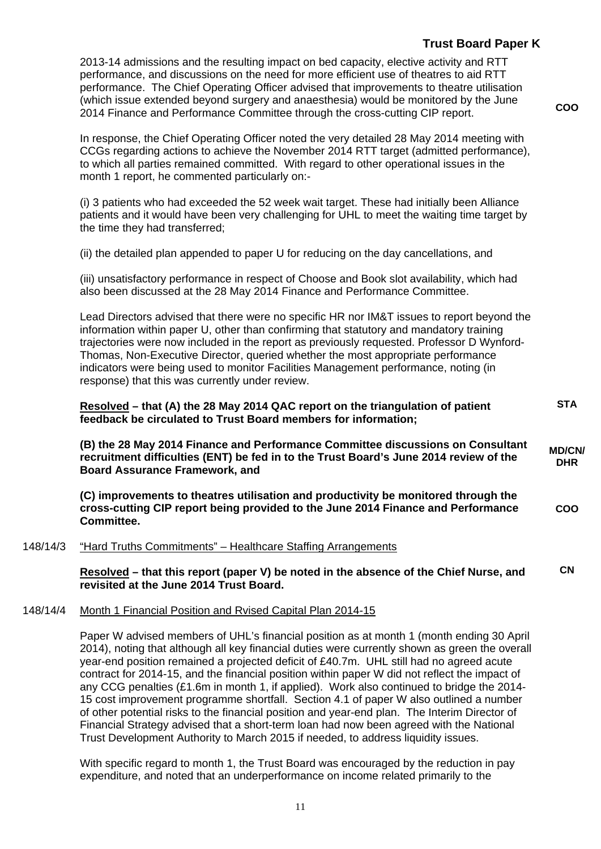|          | <b>Trust Board Paper K</b>                                                                                                                                                                                                                                                                                                                                                                                                                                                                                        |                             |
|----------|-------------------------------------------------------------------------------------------------------------------------------------------------------------------------------------------------------------------------------------------------------------------------------------------------------------------------------------------------------------------------------------------------------------------------------------------------------------------------------------------------------------------|-----------------------------|
|          | 2013-14 admissions and the resulting impact on bed capacity, elective activity and RTT<br>performance, and discussions on the need for more efficient use of theatres to aid RTT<br>performance. The Chief Operating Officer advised that improvements to theatre utilisation<br>(which issue extended beyond surgery and anaesthesia) would be monitored by the June<br>2014 Finance and Performance Committee through the cross-cutting CIP report.                                                             | COO                         |
|          | In response, the Chief Operating Officer noted the very detailed 28 May 2014 meeting with<br>CCGs regarding actions to achieve the November 2014 RTT target (admitted performance),<br>to which all parties remained committed. With regard to other operational issues in the<br>month 1 report, he commented particularly on:-                                                                                                                                                                                  |                             |
|          | (i) 3 patients who had exceeded the 52 week wait target. These had initially been Alliance<br>patients and it would have been very challenging for UHL to meet the waiting time target by<br>the time they had transferred;                                                                                                                                                                                                                                                                                       |                             |
|          | (ii) the detailed plan appended to paper U for reducing on the day cancellations, and                                                                                                                                                                                                                                                                                                                                                                                                                             |                             |
|          | (iii) unsatisfactory performance in respect of Choose and Book slot availability, which had<br>also been discussed at the 28 May 2014 Finance and Performance Committee.                                                                                                                                                                                                                                                                                                                                          |                             |
|          | Lead Directors advised that there were no specific HR nor IM&T issues to report beyond the<br>information within paper U, other than confirming that statutory and mandatory training<br>trajectories were now included in the report as previously requested. Professor D Wynford-<br>Thomas, Non-Executive Director, queried whether the most appropriate performance<br>indicators were being used to monitor Facilities Management performance, noting (in<br>response) that this was currently under review. |                             |
|          | Resolved – that (A) the 28 May 2014 QAC report on the triangulation of patient<br>feedback be circulated to Trust Board members for information;                                                                                                                                                                                                                                                                                                                                                                  | <b>STA</b>                  |
|          | (B) the 28 May 2014 Finance and Performance Committee discussions on Consultant<br>recruitment difficulties (ENT) be fed in to the Trust Board's June 2014 review of the<br><b>Board Assurance Framework, and</b>                                                                                                                                                                                                                                                                                                 | <b>MD/CN/</b><br><b>DHR</b> |
|          | (C) improvements to theatres utilisation and productivity be monitored through the<br>cross-cutting CIP report being provided to the June 2014 Finance and Performance<br>Committee.                                                                                                                                                                                                                                                                                                                              | COO                         |
| 148/14/3 | "Hard Truths Commitments" - Healthcare Staffing Arrangements                                                                                                                                                                                                                                                                                                                                                                                                                                                      |                             |
|          | Resolved – that this report (paper V) be noted in the absence of the Chief Nurse, and<br>revisited at the June 2014 Trust Board.                                                                                                                                                                                                                                                                                                                                                                                  | <b>CN</b>                   |
| 148/14/4 | Month 1 Financial Position and Rvised Capital Plan 2014-15                                                                                                                                                                                                                                                                                                                                                                                                                                                        |                             |
|          |                                                                                                                                                                                                                                                                                                                                                                                                                                                                                                                   |                             |

Paper W advised members of UHL's financial position as at month 1 (month ending 30 April 2014), noting that although all key financial duties were currently shown as green the overall year-end position remained a projected deficit of £40.7m. UHL still had no agreed acute contract for 2014-15, and the financial position within paper W did not reflect the impact of any CCG penalties (£1.6m in month 1, if applied). Work also continued to bridge the 2014- 15 cost improvement programme shortfall. Section 4.1 of paper W also outlined a number of other potential risks to the financial position and year-end plan. The Interim Director of Financial Strategy advised that a short-term loan had now been agreed with the National Trust Development Authority to March 2015 if needed, to address liquidity issues.

With specific regard to month 1, the Trust Board was encouraged by the reduction in pay expenditure, and noted that an underperformance on income related primarily to the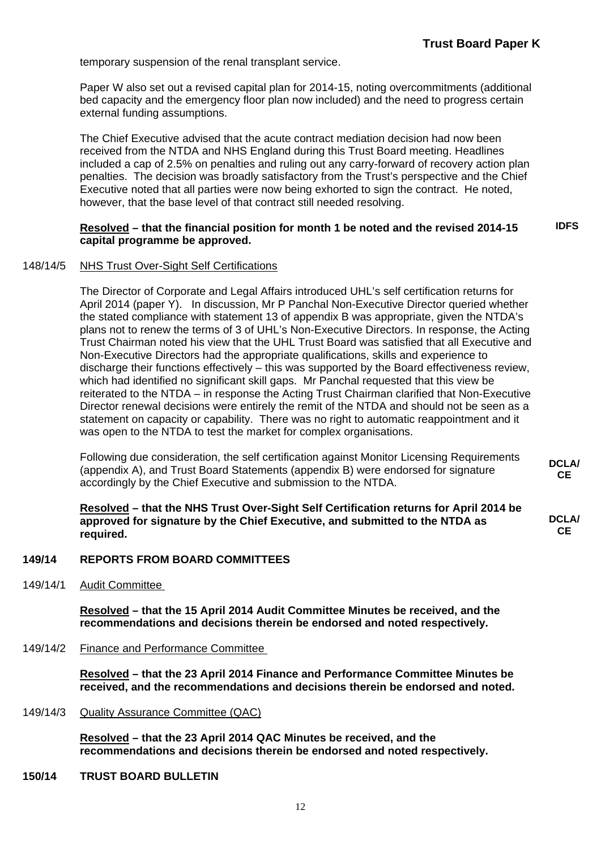temporary suspension of the renal transplant service.

Paper W also set out a revised capital plan for 2014-15, noting overcommitments (additional bed capacity and the emergency floor plan now included) and the need to progress certain external funding assumptions.

The Chief Executive advised that the acute contract mediation decision had now been received from the NTDA and NHS England during this Trust Board meeting. Headlines included a cap of 2.5% on penalties and ruling out any carry-forward of recovery action plan penalties. The decision was broadly satisfactory from the Trust's perspective and the Chief Executive noted that all parties were now being exhorted to sign the contract. He noted, however, that the base level of that contract still needed resolving.

#### **Resolved – that the financial position for month 1 be noted and the revised 2014-15 capital programme be approved. IDFS**

#### 148/14/5 NHS Trust Over-Sight Self Certifications

The Director of Corporate and Legal Affairs introduced UHL's self certification returns for April 2014 (paper Y). In discussion, Mr P Panchal Non-Executive Director queried whether the stated compliance with statement 13 of appendix B was appropriate, given the NTDA's plans not to renew the terms of 3 of UHL's Non-Executive Directors. In response, the Acting Trust Chairman noted his view that the UHL Trust Board was satisfied that all Executive and Non-Executive Directors had the appropriate qualifications, skills and experience to discharge their functions effectively – this was supported by the Board effectiveness review, which had identified no significant skill gaps. Mr Panchal requested that this view be reiterated to the NTDA – in response the Acting Trust Chairman clarified that Non-Executive Director renewal decisions were entirely the remit of the NTDA and should not be seen as a statement on capacity or capability. There was no right to automatic reappointment and it was open to the NTDA to test the market for complex organisations.

Following due consideration, the self certification against Monitor Licensing Requirements (appendix A), and Trust Board Statements (appendix B) were endorsed for signature accordingly by the Chief Executive and submission to the NTDA.

**Resolved – that the NHS Trust Over-Sight Self Certification returns for April 2014 be approved for signature by the Chief Executive, and submitted to the NTDA as required.** 

#### **149/14 REPORTS FROM BOARD COMMITTEES**

149/14/1 Audit Committee

**Resolved – that the 15 April 2014 Audit Committee Minutes be received, and the recommendations and decisions therein be endorsed and noted respectively.** 

149/14/2 Finance and Performance Committee

**Resolved – that the 23 April 2014 Finance and Performance Committee Minutes be received, and the recommendations and decisions therein be endorsed and noted.** 

149/14/3 Quality Assurance Committee (QAC)

**Resolved – that the 23 April 2014 QAC Minutes be received, and the recommendations and decisions therein be endorsed and noted respectively.** 

#### **150/14 TRUST BOARD BULLETIN**

**DCLA/ CE** 

**DCLA/ CE**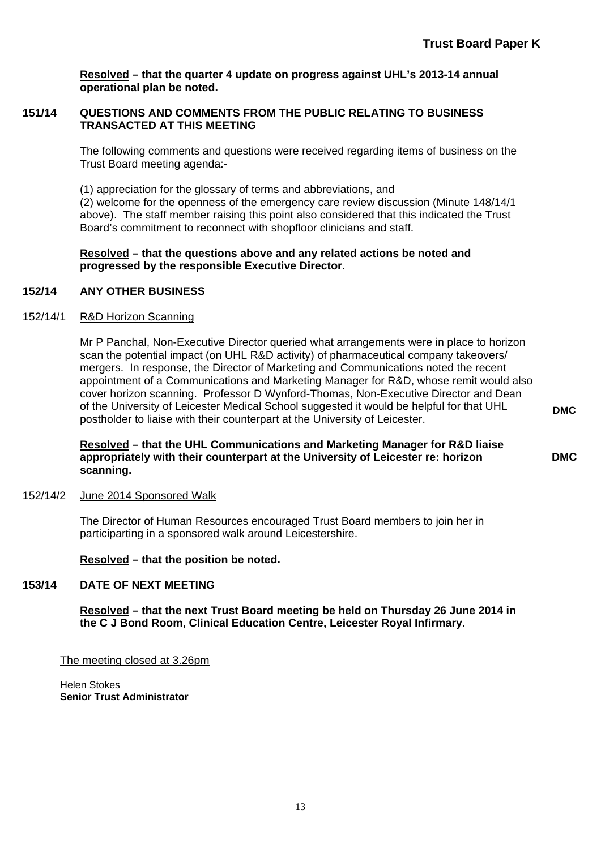**Resolved – that the quarter 4 update on progress against UHL's 2013-14 annual operational plan be noted.** 

#### **151/14 QUESTIONS AND COMMENTS FROM THE PUBLIC RELATING TO BUSINESS TRANSACTED AT THIS MEETING**

The following comments and questions were received regarding items of business on the Trust Board meeting agenda:-

(1) appreciation for the glossary of terms and abbreviations, and

(2) welcome for the openness of the emergency care review discussion (Minute 148/14/1 above). The staff member raising this point also considered that this indicated the Trust Board's commitment to reconnect with shopfloor clinicians and staff.

#### **Resolved – that the questions above and any related actions be noted and progressed by the responsible Executive Director.**

#### **152/14 ANY OTHER BUSINESS**

### 152/14/1 R&D Horizon Scanning

Mr P Panchal, Non-Executive Director queried what arrangements were in place to horizon scan the potential impact (on UHL R&D activity) of pharmaceutical company takeovers/ mergers. In response, the Director of Marketing and Communications noted the recent appointment of a Communications and Marketing Manager for R&D, whose remit would also cover horizon scanning. Professor D Wynford-Thomas, Non-Executive Director and Dean of the University of Leicester Medical School suggested it would be helpful for that UHL postholder to liaise with their counterpart at the University of Leicester.

#### **Resolved – that the UHL Communications and Marketing Manager for R&D liaise appropriately with their counterpart at the University of Leicester re: horizon scanning.**

# 152/14/2 June 2014 Sponsored Walk

The Director of Human Resources encouraged Trust Board members to join her in participarting in a sponsored walk around Leicestershire.

#### **Resolved – that the position be noted.**

#### **153/14 DATE OF NEXT MEETING**

**Resolved – that the next Trust Board meeting be held on Thursday 26 June 2014 in the C J Bond Room, Clinical Education Centre, Leicester Royal Infirmary.** 

The meeting closed at 3.26pm

Helen Stokes **Senior Trust Administrator** 

**DMC** 

**DMC**